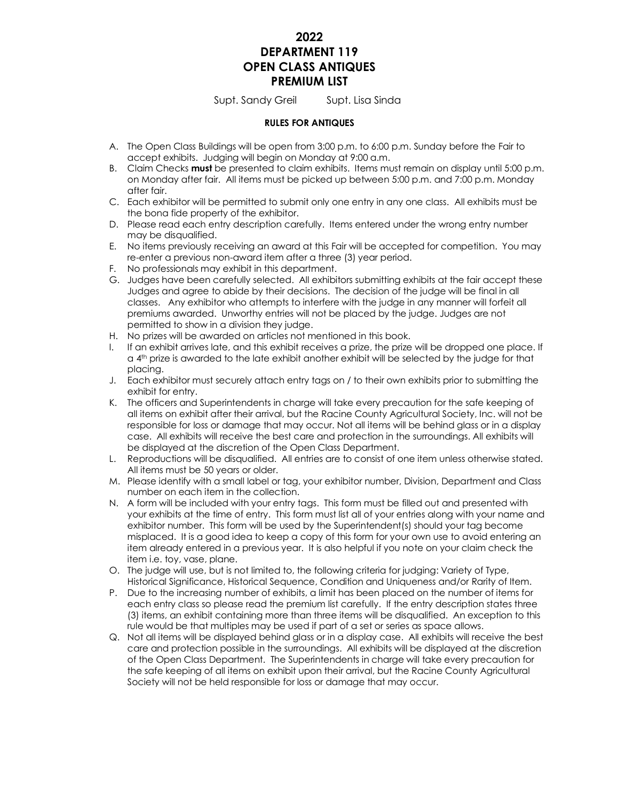## **2022 DEPARTMENT 119 OPEN CLASS ANTIQUES PREMIUM LIST**

Supt. Sandy Greil Supt. Lisa Sinda

#### **RULES FOR ANTIQUES**

- A. The Open Class Buildings will be open from 3:00 p.m. to 6:00 p.m. Sunday before the Fair to accept exhibits. Judging will begin on Monday at 9:00 a.m.
- B. Claim Checks **must** be presented to claim exhibits. Items must remain on display until 5:00 p.m. on Monday after fair. All items must be picked up between 5:00 p.m. and 7:00 p.m. Monday after fair.
- C. Each exhibitor will be permitted to submit only one entry in any one class. All exhibits must be the bona fide property of the exhibitor.
- D. Please read each entry description carefully. Items entered under the wrong entry number may be disqualified.
- E. No items previously receiving an award at this Fair will be accepted for competition. You may re-enter a previous non-award item after a three (3) year period.
- F. No professionals may exhibit in this department.
- G. Judges have been carefully selected. All exhibitors submitting exhibits at the fair accept these Judges and agree to abide by their decisions. The decision of the judge will be final in all classes. Any exhibitor who attempts to interfere with the judge in any manner will forfeit all premiums awarded. Unworthy entries will not be placed by the judge. Judges are not permitted to show in a division they judge.
- H. No prizes will be awarded on articles not mentioned in this book.
- I. If an exhibit arrives late, and this exhibit receives a prize, the prize will be dropped one place. If  $a$ <sup>4th</sup> prize is awarded to the late exhibit another exhibit will be selected by the judge for that placing.
- J. Each exhibitor must securely attach entry tags on / to their own exhibits prior to submitting the exhibit for entry.
- K. The officers and Superintendents in charge will take every precaution for the safe keeping of all items on exhibit after their arrival, but the Racine County Agricultural Society, Inc. will not be responsible for loss or damage that may occur. Not all items will be behind glass or in a display case. All exhibits will receive the best care and protection in the surroundings. All exhibits will be displayed at the discretion of the Open Class Department.
- L. Reproductions will be disqualified. All entries are to consist of one item unless otherwise stated. All items must be 50 years or older.
- M. Please identify with a small label or tag, your exhibitor number, Division, Department and Class number on each item in the collection.
- N. A form will be included with your entry tags. This form must be filled out and presented with your exhibits at the time of entry. This form must list all of your entries along with your name and exhibitor number. This form will be used by the Superintendent(s) should your tag become misplaced. It is a good idea to keep a copy of this form for your own use to avoid entering an item already entered in a previous year. It is also helpful if you note on your claim check the item i.e. toy, vase, plane.
- O. The judge will use, but is not limited to, the following criteria for judging: Variety of Type, Historical Significance, Historical Sequence, Condition and Uniqueness and/or Rarity of Item.
- P. Due to the increasing number of exhibits, a limit has been placed on the number of items for each entry class so please read the premium list carefully. If the entry description states three (3) items, an exhibit containing more than three items will be disqualified. An exception to this rule would be that multiples may be used if part of a set or series as space allows.
- Q. Not all items will be displayed behind glass or in a display case. All exhibits will receive the best care and protection possible in the surroundings. All exhibits will be displayed at the discretion of the Open Class Department. The Superintendents in charge will take every precaution for the safe keeping of all items on exhibit upon their arrival, but the Racine County Agricultural Society will not be held responsible for loss or damage that may occur.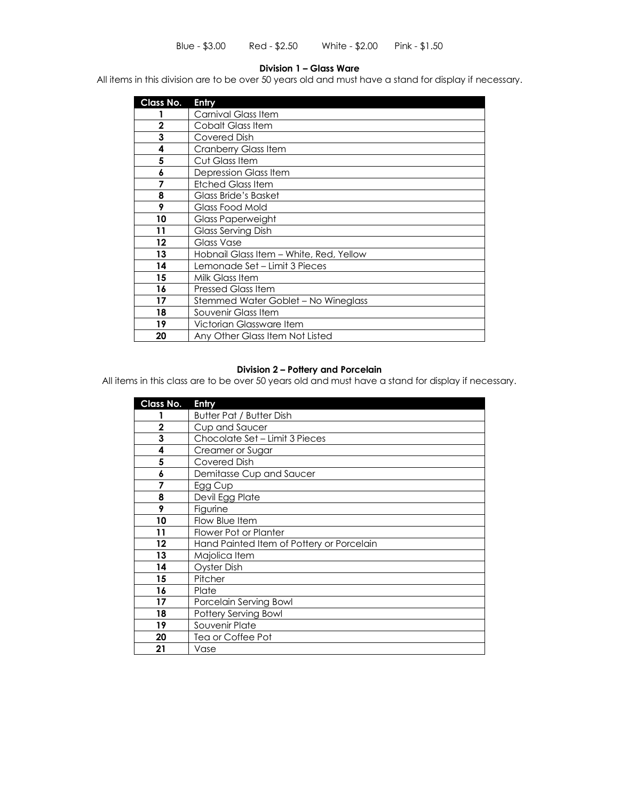#### **Division 1 – Glass Ware**

All items in this division are to be over 50 years old and must have a stand for display if necessary.

| Class No.   | Entry                                   |
|-------------|-----------------------------------------|
|             | Carnival Glass Item                     |
| $\mathbf 2$ | Cobalt Glass Item                       |
| 3           | Covered Dish                            |
| 4           | Cranberry Glass Item                    |
| 5           | Cut Glass Item                          |
| 6           | Depression Glass Item                   |
| 7           | <b>Etched Glass Item</b>                |
| 8           | Glass Bride's Basket                    |
| 9           | Glass Food Mold                         |
| 10          | Glass Paperweight                       |
| 11          | <b>Glass Serving Dish</b>               |
| 12          | Glass Vase                              |
| 13          | Hobnail Glass Item - White, Red, Yellow |
| 14          | Lemonade Set – Limit 3 Pieces           |
| 15          | Milk Glass Item                         |
| 16          | <b>Pressed Glass Item</b>               |
| 17          | Stemmed Water Goblet - No Wineglass     |
| 18          | Souvenir Glass Item                     |
| 19          | Victorian Glassware Item                |
| 20          | Any Other Glass Item Not Listed         |

### **Division 2 – Pottery and Porcelain**

All items in this class are to be over 50 years old and must have a stand for display if necessary.

| Class No.   | Entry                                     |
|-------------|-------------------------------------------|
|             | <b>Butter Pat / Butter Dish</b>           |
| $\mathbf 2$ | Cup and Saucer                            |
| 3           | Chocolate Set - Limit 3 Pieces            |
| 4           | Creamer or Sugar                          |
| 5           | Covered Dish                              |
| 6           | Demitasse Cup and Saucer                  |
|             | Egg Cup                                   |
| 8           | Devil Egg Plate                           |
| 9           | Figurine                                  |
| 10          | Flow Blue Item                            |
| 11          | Flower Pot or Planter                     |
| $12 \,$     | Hand Painted Item of Pottery or Porcelain |
| 13          | Majolica Item                             |
| 14          | <b>Oyster Dish</b>                        |
| 15          | Pitcher                                   |
| 16          | Plate                                     |
| 17          | Porcelain Serving Bowl                    |
| 18          | Pottery Serving Bowl                      |
| 19          | Souvenir Plate                            |
| 20          | Tea or Coffee Pot                         |
| 21          | Vase                                      |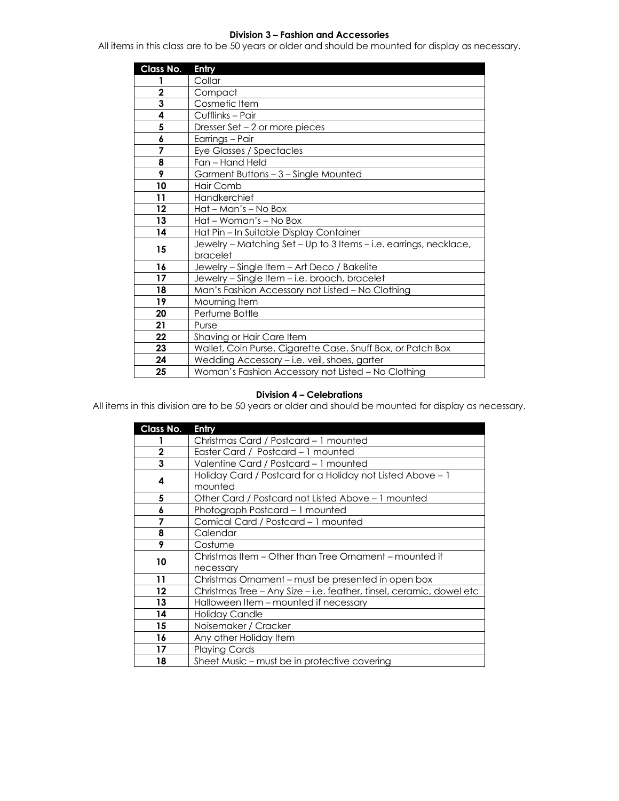#### **Division 3 – Fashion and Accessories**

All items in this class are to be 50 years or older and should be mounted for display as necessary.

| Class No. | Entry                                                             |
|-----------|-------------------------------------------------------------------|
|           | Collar                                                            |
| 2         | Compact                                                           |
| 3         | Cosmetic Item                                                     |
| 4         | Cufflinks - Pair                                                  |
| 5         | Dresser Set - 2 or more pieces                                    |
| 6         | Earrings - Pair                                                   |
| 7         | Eye Glasses / Spectacles                                          |
| 8         | Fan - Hand Held                                                   |
| 9         | Garment Buttons - 3 - Single Mounted                              |
| 10        | <b>Hair Comb</b>                                                  |
| 11        | Handkerchief                                                      |
| $12 \,$   | Hat - Man's - No Box                                              |
| 13        | Hat – Woman's – No Box                                            |
| 14        | Hat Pin - In Suitable Display Container                           |
| 15        | Jewelry - Matching Set - Up to 3 Items - i.e. earrings, necklace, |
|           | bracelet                                                          |
| 16        | Jewelry - Single Item - Art Deco / Bakelite                       |
| 17        | Jewelry - Single Item - i.e. brooch, bracelet                     |
| 18        | Man's Fashion Accessory not Listed - No Clothing                  |
| 19        | Mourning Item                                                     |
| 20        | Perfume Bottle                                                    |
| 21        | Purse                                                             |
| 22        | Shaving or Hair Care Item                                         |
| 23        | Wallet, Coin Purse, Cigarette Case, Snuff Box, or Patch Box       |
| 24        | Wedding Accessory - i.e. veil, shoes, garter                      |
| 25        | Woman's Fashion Accessory not Listed - No Clothing                |

## **Division 4 – Celebrations**

All items in this division are to be 50 years or older and should be mounted for display as necessary.

| Class No.    | Entry                                                                |
|--------------|----------------------------------------------------------------------|
|              | Christmas Card / Postcard - 1 mounted                                |
| $\mathbf{2}$ | Easter Card / Postcard - 1 mounted                                   |
| 3            | Valentine Card / Postcard - 1 mounted                                |
| 4            | Holiday Card / Postcard for a Holiday not Listed Above – 1           |
|              | mounted                                                              |
| 5            | Other Card / Postcard not Listed Above – 1 mounted                   |
| 6            | Photograph Postcard - 1 mounted                                      |
| 7            | Comical Card / Postcard - 1 mounted                                  |
| 8            | Calendar                                                             |
| 9            | Costume                                                              |
| 10           | Christmas Item – Other than Tree Ornament – mounted if               |
|              | necessary                                                            |
| 11           | Christmas Ornament - must be presented in open box                   |
| $12 \,$      | Christmas Tree - Any Size - i.e. feather, tinsel, ceramic, dowel etc |
| 13           | Halloween Item – mounted if necessary                                |
| 14           | Holiday Candle                                                       |
| 15           | Noisemaker / Cracker                                                 |
| 16           | Any other Holiday Item                                               |
| 17           | <b>Playing Cards</b>                                                 |
| 18           | Sheet Music – must be in protective covering                         |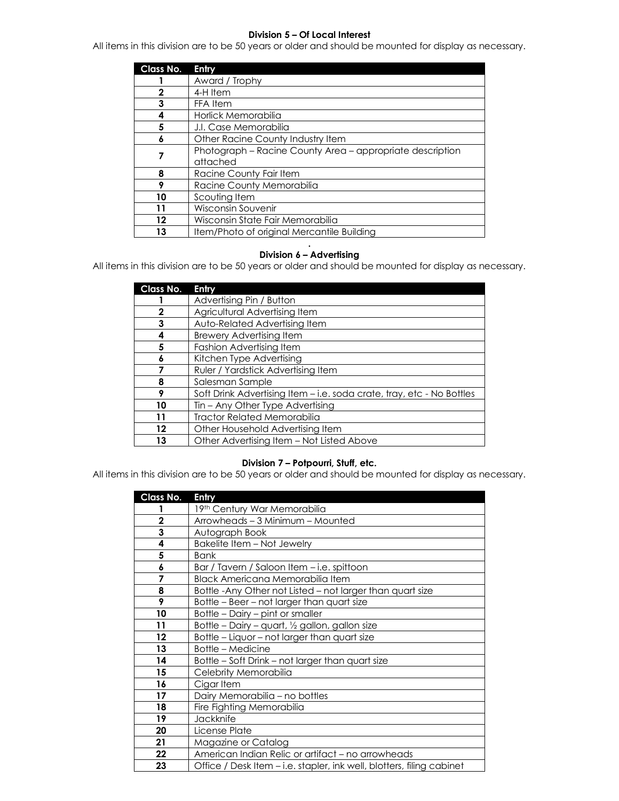#### **Division 5 – Of Local Interest**

All items in this division are to be 50 years or older and should be mounted for display as necessary.

| Class No. | Entry                                                                 |
|-----------|-----------------------------------------------------------------------|
|           | Award / Trophy                                                        |
| 2         | 4-H Item                                                              |
| 3         | FFA Item                                                              |
| 4         | Horlick Memorabilia                                                   |
| 5         | J.I. Case Memorabilia                                                 |
| 6         | Other Racine County Industry Item                                     |
|           | Photograph - Racine County Area - appropriate description<br>attached |
| 8         | Racine County Fair Item                                               |
| 9         | Racine County Memorabilia                                             |
| 10        | Scouting Item                                                         |
| 11        | Wisconsin Souvenir                                                    |
| 12        | Wisconsin State Fair Memorabilia                                      |
| 13        | Item/Photo of original Mercantile Building                            |

#### **. Division 6 – Advertising**

All items in this division are to be 50 years or older and should be mounted for display as necessary.

| Class No.   | Entry                                                                 |
|-------------|-----------------------------------------------------------------------|
|             | Advertising Pin / Button                                              |
| $\mathbf 2$ | Agricultural Advertising Item                                         |
| 3           | Auto-Related Advertising Item                                         |
| 4           | <b>Brewery Advertising Item</b>                                       |
| 5           | Fashion Advertising Item                                              |
| 6           | Kitchen Type Advertising                                              |
|             | Ruler / Yardstick Advertising Item                                    |
| 8           | Salesman Sample                                                       |
| 9           | Soft Drink Advertising Item – i.e. soda crate, tray, etc - No Bottles |
| 10          | Tin - Any Other Type Advertising                                      |
| 11          | <b>Tractor Related Memorabilia</b>                                    |
| 12          | Other Household Advertising Item                                      |
| 13          | Other Advertising Item - Not Listed Above                             |

## **Division 7 – Potpourri, Stuff, etc.**

All items in this division are to be 50 years or older and should be mounted for display as necessary.

| Class No.      | Entry                                                                 |
|----------------|-----------------------------------------------------------------------|
|                | 19th Century War Memorabilia                                          |
| $\overline{2}$ | Arrowheads - 3 Minimum - Mounted                                      |
| 3              | Autograph Book                                                        |
| 4              | Bakelite Item - Not Jewelry                                           |
| 5              | <b>Bank</b>                                                           |
| 6              | Bar / Tavern / Saloon Item - i.e. spittoon                            |
| 7              | Black Americana Memorabilia Item                                      |
| 8              | Bottle-Any Other not Listed - not larger than quart size              |
| 9              | Bottle - Beer - not larger than quart size                            |
| 10             | Bottle - Dairy - pint or smaller                                      |
| 11             | Bottle - Dairy - quart, 1/2 gallon, gallon size                       |
| 12             | Bottle - Liquor - not larger than quart size                          |
| 13             | <b>Bottle - Medicine</b>                                              |
| 14             | Bottle - Soft Drink - not larger than quart size                      |
| 15             | Celebrity Memorabilia                                                 |
| 16             | Cigar Item                                                            |
| 17             | Dairy Memorabilia - no bottles                                        |
| 18             | Fire Fighting Memorabilia                                             |
| 19             | Jackknife                                                             |
| 20             | License Plate                                                         |
| 21             | Magazine or Catalog                                                   |
| 22             | American Indian Relic or artifact - no arrowheads                     |
| 23             | Office / Desk Item - i.e. stapler, ink well, blotters, filing cabinet |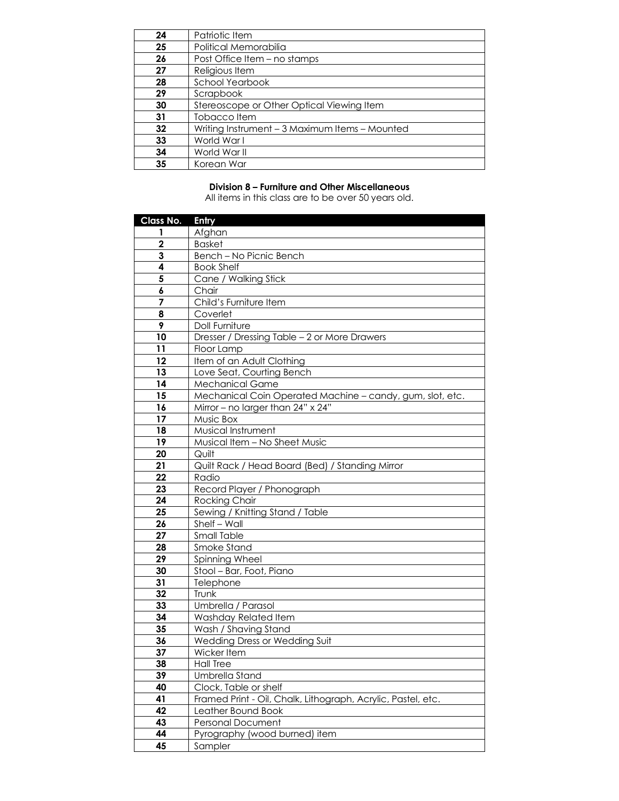| 24 | Patriotic Item                                 |
|----|------------------------------------------------|
| 25 | Political Memorabilia                          |
| 26 | Post Office Item – no stamps                   |
| 27 | Religious Item                                 |
| 28 | <b>School Yearbook</b>                         |
| 29 | Scrapbook                                      |
| 30 | Stereoscope or Other Optical Viewing Item      |
| 31 | Tobacco Item                                   |
| 32 | Writing Instrument – 3 Maximum Items – Mounted |
| 33 | World War I                                    |
| 34 | World War II                                   |
| 35 | Korean War                                     |

## **Division 8 – Furniture and Other Miscellaneous**

All items in this class are to be over 50 years old.

| Class No.      | Entry                                                        |
|----------------|--------------------------------------------------------------|
| 1              | Afghan                                                       |
| $\overline{2}$ | <b>Basket</b>                                                |
| 3              | Bench - No Picnic Bench                                      |
| 4              | <b>Book Shelf</b>                                            |
| 5              | Cane / Walking Stick                                         |
| 6              | Chair                                                        |
| 7              | Child's Furniture Item                                       |
| 8              | Coverlet                                                     |
| 9              | Doll Furniture                                               |
| 10             | Dresser / Dressing Table - 2 or More Drawers                 |
| 11             | Floor Lamp                                                   |
| 12             | Item of an Adult Clothing                                    |
| 13             | Love Seat, Courting Bench                                    |
| 14             | <b>Mechanical Game</b>                                       |
| 15             | Mechanical Coin Operated Machine - candy, gum, slot, etc.    |
| 16             | Mirror - no larger than 24" x 24"                            |
| 17             | Music Box                                                    |
| 18             | Musical Instrument                                           |
| 19             | Musical Item - No Sheet Music                                |
| 20             | Quilt                                                        |
| 21             | Quilt Rack / Head Board (Bed) / Standing Mirror              |
| 22             | Radio                                                        |
| 23             | Record Player / Phonograph                                   |
| 24             | <b>Rocking Chair</b>                                         |
| 25             | Sewing / Knitting Stand / Table                              |
| 26             | Shelf - Wall                                                 |
| 27             | <b>Small Table</b>                                           |
| 28             | Smoke Stand                                                  |
| 29             | Spinning Wheel                                               |
| 30             | Stool - Bar, Foot, Piano                                     |
| 31             | Telephone                                                    |
| 32             | Trunk                                                        |
| 33             | Umbrella / Parasol                                           |
| 34             | Washday Related Item                                         |
| 35             | Wash / Shaving Stand                                         |
| 36             | Wedding Dress or Wedding Suit                                |
| 37             | Wicker Item                                                  |
| 38             | Hall Tree                                                    |
| 39             | <b>Umbrella Stand</b>                                        |
| 40             | Clock, Table or shelf                                        |
| 41             | Framed Print - Oil, Chalk, Lithograph, Acrylic, Pastel, etc. |
| 42             | Leather Bound Book                                           |
| 43             | Personal Document                                            |
| 44             | Pyrography (wood burned) item                                |
| 45             | Sampler                                                      |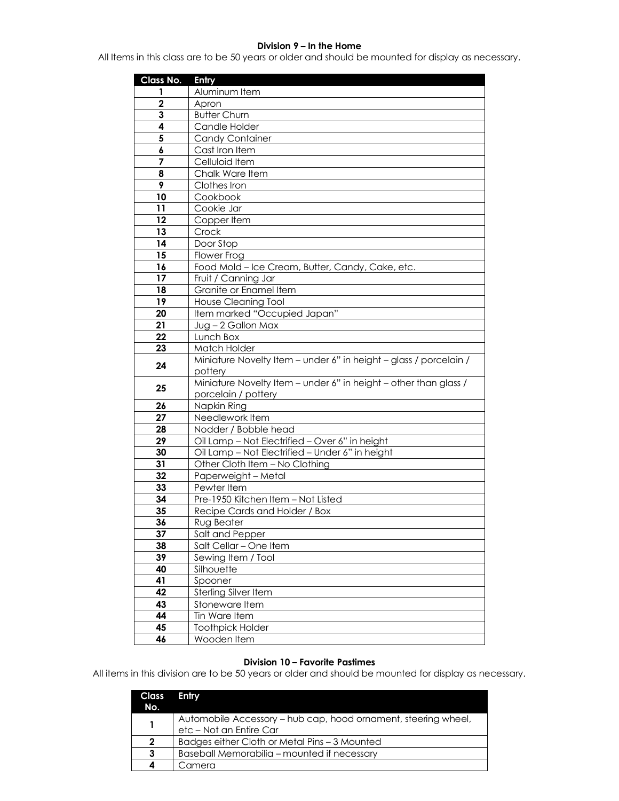### **Division 9 – In the Home**

All Items in this class are to be 50 years or older and should be mounted for display as necessary.

| Class No. | Entry                                                             |
|-----------|-------------------------------------------------------------------|
| 1         | Aluminum Item                                                     |
| 2         | Apron                                                             |
| 3         | <b>Butter Churn</b>                                               |
| 4         | Candle Holder                                                     |
| 5         | <b>Candy Container</b>                                            |
| 6         | Cast Iron Item                                                    |
| 7         | Celluloid Item                                                    |
| 8         | Chalk Ware Item                                                   |
| 9         | Clothes Iron                                                      |
| 10        | Cookbook                                                          |
| 11        | Cookie Jar                                                        |
| 12        | Copper Item                                                       |
| 13        | Crock                                                             |
| 14        | Door Stop                                                         |
| 15        | Flower Frog                                                       |
| 16        | Food Mold - Ice Cream, Butter, Candy, Cake, etc.                  |
| 17        | Fruit / Canning Jar                                               |
| 18        | Granite or Enamel Item                                            |
| 19        | <b>House Cleaning Tool</b>                                        |
| 20        | Item marked "Occupied Japan"                                      |
| 21        | Jug-2 Gallon Max                                                  |
| 22        | Lunch Box                                                         |
| 23        | Match Holder                                                      |
| 24        | Miniature Novelty Item - under 6" in height - glass / porcelain / |
|           | pottery                                                           |
| 25        | Miniature Novelty Item - under 6" in height - other than glass /  |
|           | porcelain / pottery                                               |
| 26        | Napkin Ring                                                       |
| 27        | Needlework Item                                                   |
| 28        | Nodder / Bobble head                                              |
| 29        | Oil Lamp - Not Electrified - Over 6" in height                    |
| 30        | Oil Lamp - Not Electrified - Under 6" in height                   |
| 31        | Other Cloth Item - No Clothing                                    |
| 32        | Paperweight - Metal                                               |
| 33        | Pewter Item                                                       |
| 34        | Pre-1950 Kitchen Item - Not Listed                                |
| 35        | Recipe Cards and Holder / Box                                     |
| 36        | Rua Beater -                                                      |
| 37        | Salt and Pepper                                                   |
| 38        | Salt Cellar - One Item                                            |
| 39        | Sewing Item / Tool                                                |
| 40        | Silhouette                                                        |
| 41        | Spooner                                                           |
| 42        | <b>Sterling Silver Item</b>                                       |
| 43        | Stoneware Item                                                    |
| 44        | Tin Ware Item                                                     |
| 45        | <b>Toothpick Holder</b>                                           |
| 46        | Wooden Item                                                       |

## **Division 10 – Favorite Pastimes**

All items in this division are to be 50 years or older and should be mounted for display as necessary.

| Class<br>No. | Entry                                                                                     |
|--------------|-------------------------------------------------------------------------------------------|
|              | Automobile Accessory - hub cap, hood ornament, steering wheel,<br>etc - Not an Entire Car |
| 2            | Badges either Cloth or Metal Pins - 3 Mounted                                             |
| 3            | Baseball Memorabilia – mounted if necessary                                               |
|              | Camera                                                                                    |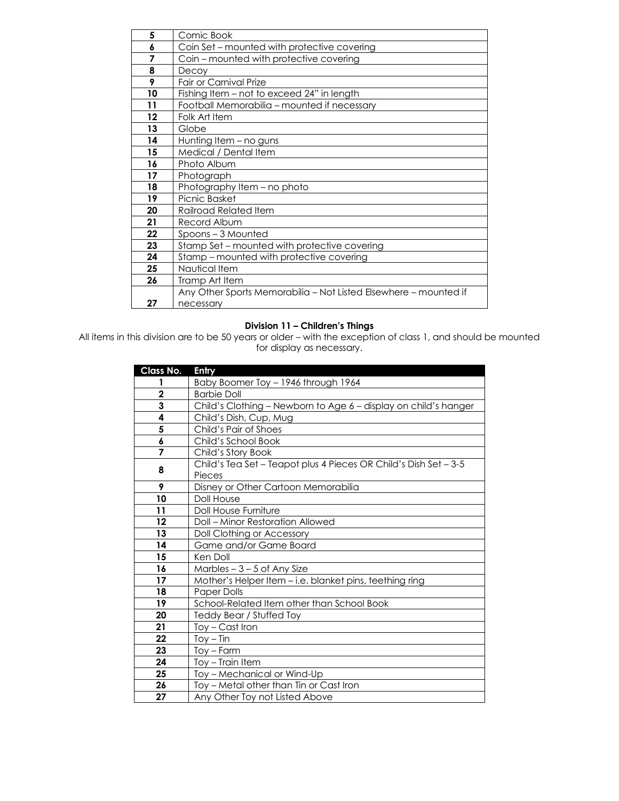| 5  | Comic Book                                                       |
|----|------------------------------------------------------------------|
| 6  | Coin Set – mounted with protective covering                      |
| 7  | Coin - mounted with protective covering                          |
| 8  | Decoy                                                            |
| 9  | <b>Fair or Carnival Prize</b>                                    |
| 10 | Fishing Item - not to exceed 24" in length                       |
| 11 | Football Memorabilia - mounted if necessary                      |
| 12 | Folk Art Item                                                    |
| 13 | Globe                                                            |
| 14 | Hunting Item - no guns                                           |
| 15 | Medical / Dental Item                                            |
| 16 | Photo Album                                                      |
| 17 | Photograph                                                       |
| 18 | Photography Item - no photo                                      |
| 19 | Picnic Basket                                                    |
| 20 | Railroad Related Item                                            |
| 21 | Record Album                                                     |
| 22 | Spoons-3 Mounted                                                 |
| 23 | Stamp Set - mounted with protective covering                     |
| 24 | Stamp – mounted with protective covering                         |
| 25 | Nautical Item                                                    |
| 26 | Tramp Art Item                                                   |
|    | Any Other Sports Memorabilia – Not Listed Elsewhere – mounted if |
| 27 | necessary                                                        |

### **Division 11 – Children's Things**

All items in this division are to be 50 years or older – with the exception of class 1, and should be mounted for display as necessary.

| Class No.   | Entry                                                            |
|-------------|------------------------------------------------------------------|
| 1           | Baby Boomer Toy - 1946 through 1964                              |
| $\mathbf 2$ | <b>Barbie Doll</b>                                               |
| 3           | Child's Clothing - Newborn to Age 6 - display on child's hanger  |
| 4           | Child's Dish, Cup, Mug                                           |
| 5           | Child's Pair of Shoes                                            |
| 6           | Child's School Book                                              |
| 7           | Child's Story Book                                               |
| 8           | Child's Tea Set - Teapot plus 4 Pieces OR Child's Dish Set - 3-5 |
|             | Pieces                                                           |
| 9           | Disney or Other Cartoon Memorabilia                              |
| 10          | Doll House                                                       |
| 11          | Doll House Furniture                                             |
| 12          | <b>Doll - Minor Restoration Allowed</b>                          |
| 13          | Doll Clothing or Accessory                                       |
| 14          | Game and/or Game Board                                           |
| 15          | Ken Doll                                                         |
| 16          | Marbles $-3-5$ of Any Size                                       |
| 17          | Mother's Helper Item - i.e. blanket pins, teething ring          |
| 18          | <b>Paper Dolls</b>                                               |
| 19          | School-Related Item other than School Book                       |
| 20          | Teddy Bear / Stuffed Toy                                         |
| 21          | Toy – Cast Iron                                                  |
| 22          | $Toy - Tin$                                                      |
| 23          | $Toy - Farm$                                                     |
| 24          | Toy - Train Item                                                 |
| 25          | Toy - Mechanical or Wind-Up                                      |
| 26          | Toy – Metal other than Tin or Cast Iron                          |
| 27          | Any Other Toy not Listed Above                                   |